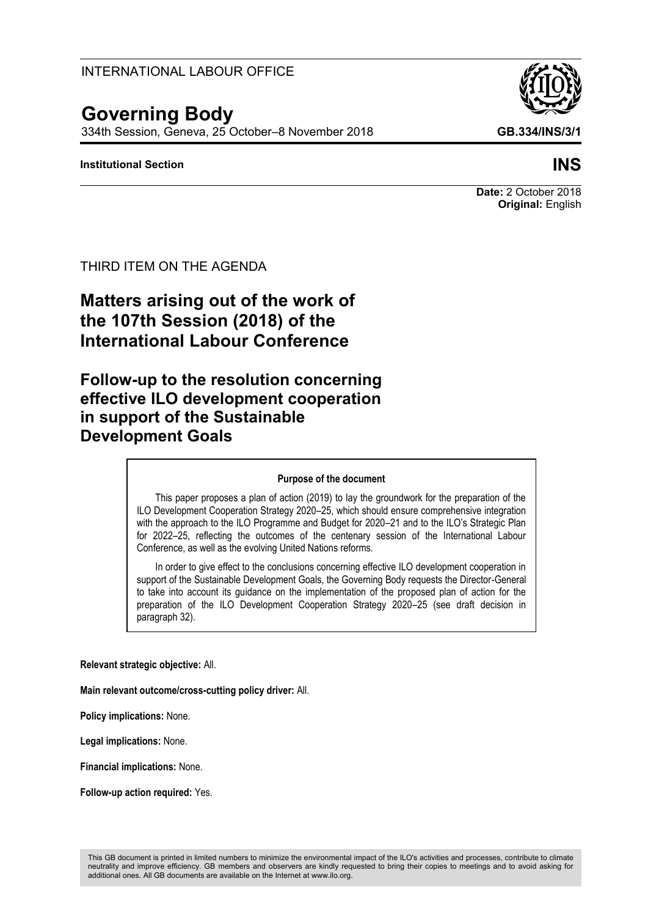# INTERNATIONAL LABOUR OFFICE

# **Governing Body**

334th Session, Geneva, 25 October–8 November 2018 **GB.334/INS/3/1**

### **Institutional Section INS**

#### **Date:** 2 October 2018 **Original:** English

#### THIRD ITEM ON THE AGENDA

# **Matters arising out of the work of the 107th Session (2018) of the International Labour Conference**

# **Follow-up to the resolution concerning effective ILO development cooperation in support of the Sustainable Development Goals**

#### **Purpose of the document**

This paper proposes a plan of action (2019) to lay the groundwork for the preparation of the ILO Development Cooperation Strategy 2020–25, which should ensure comprehensive integration with the approach to the ILO Programme and Budget for 2020–21 and to the ILO's Strategic Plan for 2022–25, reflecting the outcomes of the centenary session of the International Labour Conference, as well as the evolving United Nations reforms.

In order to give effect to the conclusions concerning effective ILO development cooperation in support of the Sustainable Development Goals, the Governing Body requests the Director-General to take into account its guidance on the implementation of the proposed plan of action for the preparation of the ILO Development Cooperation Strategy 2020–25 (see draft decision in paragraph 32).

**Relevant strategic objective:** All.

**Main relevant outcome/cross-cutting policy driver:** All.

**Policy implications:** None.

**Legal implications:** None.

**Financial implications:** None.

**Follow-up action required:** Yes.

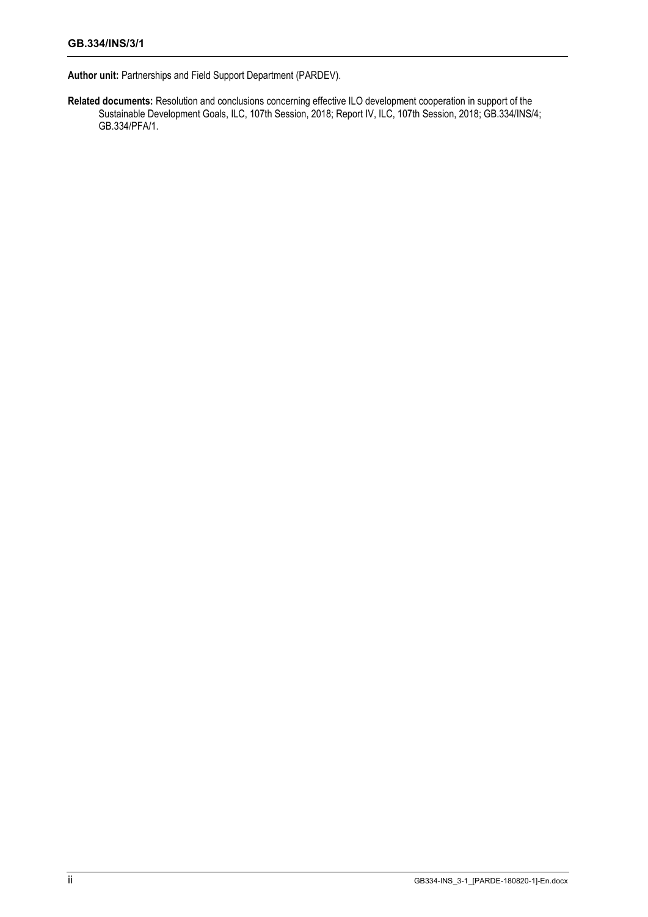**Author unit:** Partnerships and Field Support Department (PARDEV).

**Related documents:** Resolution and conclusions concerning effective ILO development cooperation in support of the Sustainable Development Goals, ILC, 107th Session, 2018; Report IV, ILC, 107th Session, 2018; GB.334/INS/4; GB.334/PFA/1.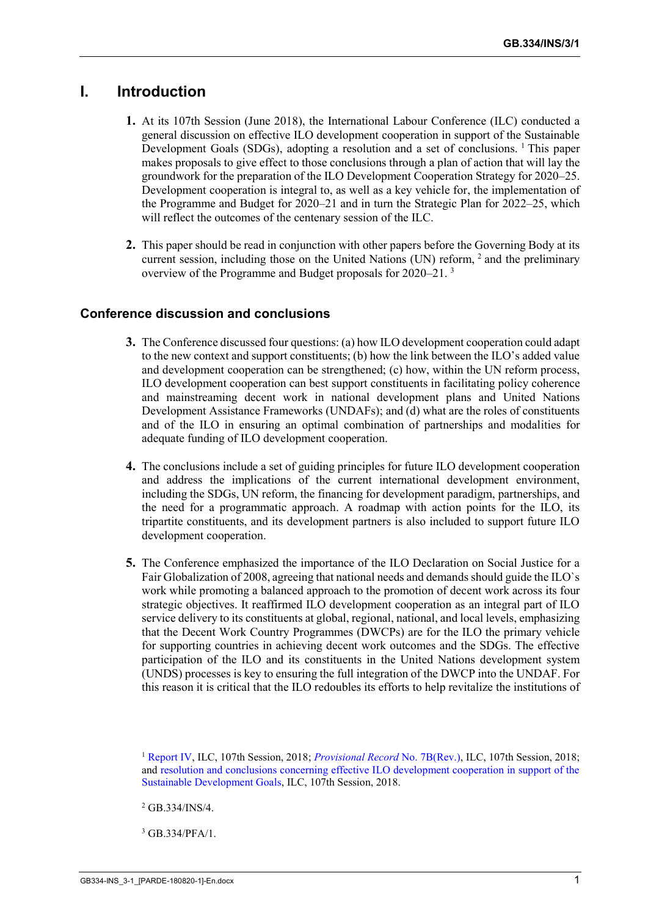# **I. Introduction**

- **1.** At its 107th Session (June 2018), the International Labour Conference (ILC) conducted a general discussion on effective ILO development cooperation in support of the Sustainable Development Goals (SDGs), adopting a resolution and a set of conclusions. <sup>1</sup> This paper makes proposals to give effect to those conclusions through a plan of action that will lay the groundwork for the preparation of the ILO Development Cooperation Strategy for 2020–25. Development cooperation is integral to, as well as a key vehicle for, the implementation of the Programme and Budget for 2020–21 and in turn the Strategic Plan for 2022–25, which will reflect the outcomes of the centenary session of the ILC.
- **2.** This paper should be read in conjunction with other papers before the Governing Body at its current session, including those on the United Nations (UN) reform, <sup>2</sup> and the preliminary overview of the Programme and Budget proposals for 2020–21. <sup>3</sup>

# **Conference discussion and conclusions**

- **3.** The Conference discussed four questions: (a) how ILO development cooperation could adapt to the new context and support constituents; (b) how the link between the ILO's added value and development cooperation can be strengthened; (c) how, within the UN reform process, ILO development cooperation can best support constituents in facilitating policy coherence and mainstreaming decent work in national development plans and United Nations Development Assistance Frameworks (UNDAFs); and (d) what are the roles of constituents and of the ILO in ensuring an optimal combination of partnerships and modalities for adequate funding of ILO development cooperation.
- **4.** The conclusions include a set of guiding principles for future ILO development cooperation and address the implications of the current international development environment, including the SDGs, UN reform, the financing for development paradigm, partnerships, and the need for a programmatic approach. A roadmap with action points for the ILO, its tripartite constituents, and its development partners is also included to support future ILO development cooperation.
- **5.** The Conference emphasized the importance of the ILO Declaration on Social Justice for a Fair Globalization of 2008, agreeing that national needs and demands should guide the ILO`s work while promoting a balanced approach to the promotion of decent work across its four strategic objectives. It reaffirmed ILO development cooperation as an integral part of ILO service delivery to its constituents at global, regional, national, and local levels, emphasizing that the Decent Work Country Programmes (DWCPs) are for the ILO the primary vehicle for supporting countries in achieving decent work outcomes and the SDGs. The effective participation of the ILO and its constituents in the United Nations development system (UNDS) processes is key to ensuring the full integration of the DWCP into the UNDAF. For this reason it is critical that the ILO redoubles its efforts to help revitalize the institutions of

<sup>1</sup> [Report IV,](https://www.ilo.org/wcmsp5/groups/public/---ed_norm/---relconf/documents/meetingdocument/wcms_624037.pdf) ILC, 107th Session, 2018; *[Provisional Record](https://www.ilo.org/wcmsp5/groups/public/---ed_norm/---relconf/documents/meetingdocument/wcms_631784.pdf)* No. 7B(Rev.), ILC, 107th Session, 2018; and [resolution and conclusions concerning effective ILO development cooperation in support of the](https://www.ilo.org/wcmsp5/groups/public/---ed_norm/---relconf/documents/meetingdocument/wcms_633138.pdf)  [Sustainable Development Goals,](https://www.ilo.org/wcmsp5/groups/public/---ed_norm/---relconf/documents/meetingdocument/wcms_633138.pdf) ILC, 107th Session, 2018.

<sup>2</sup> GB.334/INS/4.

<sup>3</sup> GB.334/PFA/1.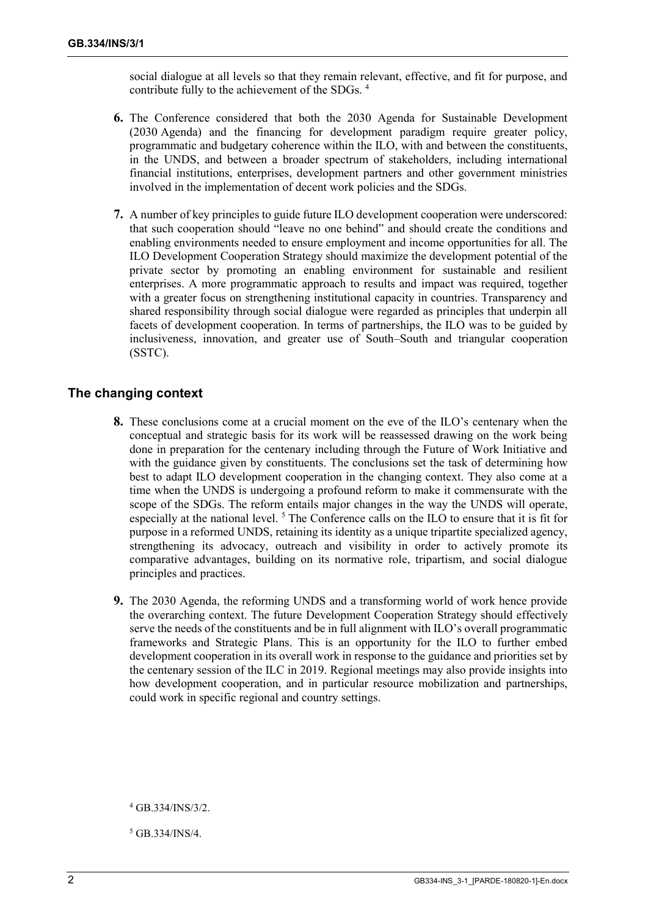social dialogue at all levels so that they remain relevant, effective, and fit for purpose, and contribute fully to the achievement of the SDGs. <sup>4</sup>

- **6.** The Conference considered that both the 2030 Agenda for Sustainable Development (2030 Agenda) and the financing for development paradigm require greater policy, programmatic and budgetary coherence within the ILO, with and between the constituents, in the UNDS, and between a broader spectrum of stakeholders, including international financial institutions, enterprises, development partners and other government ministries involved in the implementation of decent work policies and the SDGs.
- **7.** A number of key principles to guide future ILO development cooperation were underscored: that such cooperation should "leave no one behind" and should create the conditions and enabling environments needed to ensure employment and income opportunities for all. The ILO Development Cooperation Strategy should maximize the development potential of the private sector by promoting an enabling environment for sustainable and resilient enterprises. A more programmatic approach to results and impact was required, together with a greater focus on strengthening institutional capacity in countries. Transparency and shared responsibility through social dialogue were regarded as principles that underpin all facets of development cooperation. In terms of partnerships, the ILO was to be guided by inclusiveness, innovation, and greater use of South–South and triangular cooperation (SSTC).

#### **The changing context**

- **8.** These conclusions come at a crucial moment on the eve of the ILO's centenary when the conceptual and strategic basis for its work will be reassessed drawing on the work being done in preparation for the centenary including through the Future of Work Initiative and with the guidance given by constituents. The conclusions set the task of determining how best to adapt ILO development cooperation in the changing context. They also come at a time when the UNDS is undergoing a profound reform to make it commensurate with the scope of the SDGs. The reform entails major changes in the way the UNDS will operate, especially at the national level.<sup>5</sup> The Conference calls on the ILO to ensure that it is fit for purpose in a reformed UNDS, retaining its identity as a unique tripartite specialized agency, strengthening its advocacy, outreach and visibility in order to actively promote its comparative advantages, building on its normative role, tripartism, and social dialogue principles and practices.
- **9.** The 2030 Agenda, the reforming UNDS and a transforming world of work hence provide the overarching context. The future Development Cooperation Strategy should effectively serve the needs of the constituents and be in full alignment with ILO's overall programmatic frameworks and Strategic Plans. This is an opportunity for the ILO to further embed development cooperation in its overall work in response to the guidance and priorities set by the centenary session of the ILC in 2019. Regional meetings may also provide insights into how development cooperation, and in particular resource mobilization and partnerships, could work in specific regional and country settings.

<sup>5</sup> GB.334/INS/4.

<sup>4</sup> GB.334/INS/3/2.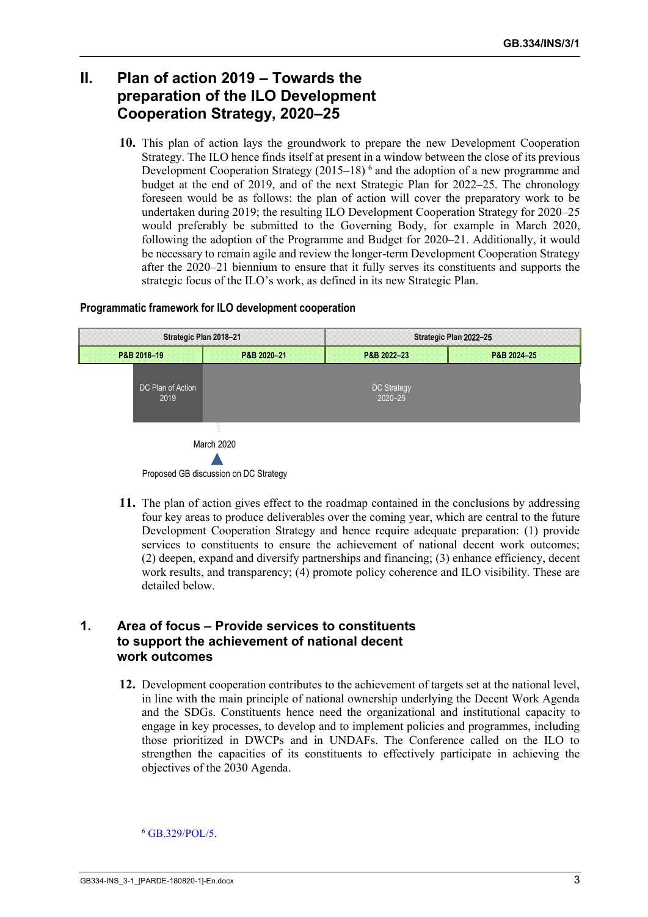# **II. Plan of action 2019 – Towards the preparation of the ILO Development Cooperation Strategy, 2020–25**

**10.** This plan of action lays the groundwork to prepare the new Development Cooperation Strategy. The ILO hence finds itself at present in a window between the close of its previous Development Cooperation Strategy (2015–18)<sup>6</sup> and the adoption of a new programme and budget at the end of 2019, and of the next Strategic Plan for 2022–25. The chronology foreseen would be as follows: the plan of action will cover the preparatory work to be undertaken during 2019; the resulting ILO Development Cooperation Strategy for 2020–25 would preferably be submitted to the Governing Body, for example in March 2020, following the adoption of the Programme and Budget for 2020–21. Additionally, it would be necessary to remain agile and review the longer-term Development Cooperation Strategy after the 2020–21 biennium to ensure that it fully serves its constituents and supports the strategic focus of the ILO's work, as defined in its new Strategic Plan.

#### **Programmatic framework for ILO development cooperation**



Proposed GB discussion on DC Strategy

**11.** The plan of action gives effect to the roadmap contained in the conclusions by addressing four key areas to produce deliverables over the coming year, which are central to the future Development Cooperation Strategy and hence require adequate preparation: (1) provide services to constituents to ensure the achievement of national decent work outcomes; (2) deepen, expand and diversify partnerships and financing; (3) enhance efficiency, decent work results, and transparency; (4) promote policy coherence and ILO visibility. These are detailed below.

### **1. Area of focus – Provide services to constituents to support the achievement of national decent work outcomes**

**12.** Development cooperation contributes to the achievement of targets set at the national level, in line with the main principle of national ownership underlying the Decent Work Agenda and the SDGs. Constituents hence need the organizational and institutional capacity to engage in key processes, to develop and to implement policies and programmes, including those prioritized in DWCPs and in UNDAFs. The Conference called on the ILO to strengthen the capacities of its constituents to effectively participate in achieving the objectives of the 2030 Agenda.

<sup>6</sup> [GB.329/POL/5.](https://www.ilo.org/wcmsp5/groups/public/---ed_norm/---relconf/documents/meetingdocument/wcms_545381.pdf)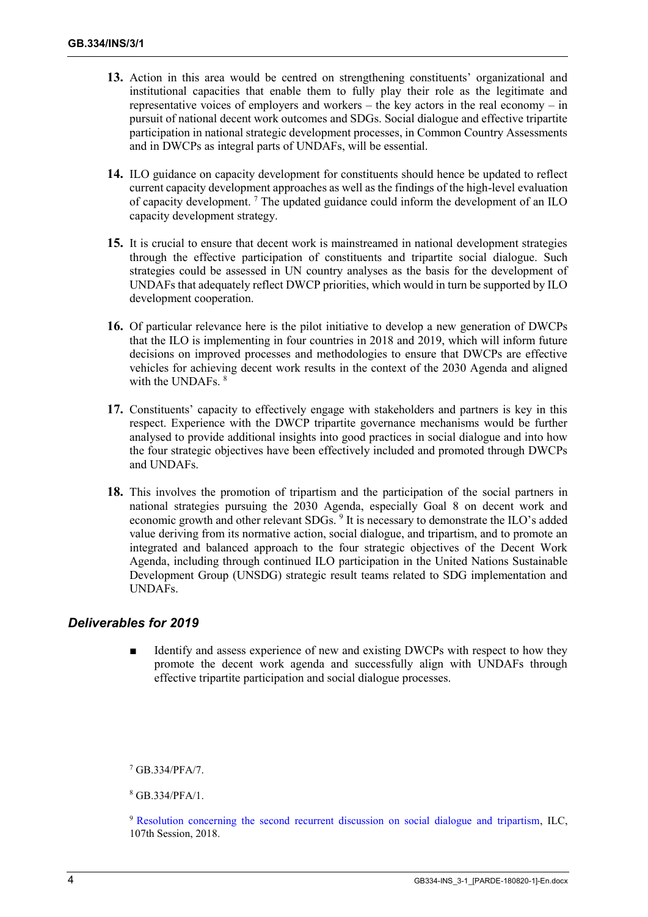- **13.** Action in this area would be centred on strengthening constituents' organizational and institutional capacities that enable them to fully play their role as the legitimate and representative voices of employers and workers – the key actors in the real economy – in pursuit of national decent work outcomes and SDGs. Social dialogue and effective tripartite participation in national strategic development processes, in Common Country Assessments and in DWCPs as integral parts of UNDAFs, will be essential.
- **14.** ILO guidance on capacity development for constituents should hence be updated to reflect current capacity development approaches as well as the findings of the high-level evaluation of capacity development. <sup>7</sup> The updated guidance could inform the development of an ILO capacity development strategy.
- **15.** It is crucial to ensure that decent work is mainstreamed in national development strategies through the effective participation of constituents and tripartite social dialogue. Such strategies could be assessed in UN country analyses as the basis for the development of UNDAFs that adequately reflect DWCP priorities, which would in turn be supported by ILO development cooperation.
- **16.** Of particular relevance here is the pilot initiative to develop a new generation of DWCPs that the ILO is implementing in four countries in 2018 and 2019, which will inform future decisions on improved processes and methodologies to ensure that DWCPs are effective vehicles for achieving decent work results in the context of the 2030 Agenda and aligned with the UNDAFs. <sup>8</sup>
- **17.** Constituents' capacity to effectively engage with stakeholders and partners is key in this respect. Experience with the DWCP tripartite governance mechanisms would be further analysed to provide additional insights into good practices in social dialogue and into how the four strategic objectives have been effectively included and promoted through DWCPs and UNDAFs.
- **18.** This involves the promotion of tripartism and the participation of the social partners in national strategies pursuing the 2030 Agenda, especially Goal 8 on decent work and economic growth and other relevant SDGs. <sup>9</sup> It is necessary to demonstrate the ILO's added value deriving from its normative action, social dialogue, and tripartism, and to promote an integrated and balanced approach to the four strategic objectives of the Decent Work Agenda, including through continued ILO participation in the United Nations Sustainable Development Group (UNSDG) strategic result teams related to SDG implementation and UNDAFs.

# *Deliverables for 2019*

Identify and assess experience of new and existing DWCPs with respect to how they promote the decent work agenda and successfully align with UNDAFs through effective tripartite participation and social dialogue processes.

<sup>7</sup> GB.334/PFA/7.

<sup>8</sup> GB.334/PFA/1.

<sup>9</sup> [Resolution concerning the second recurrent discussion on social dialogue and tripartism,](https://www.ilo.org/wcmsp5/groups/public/---ed_norm/---relconf/documents/meetingdocument/wcms_633143.pdf) ILC, 107th Session, 2018.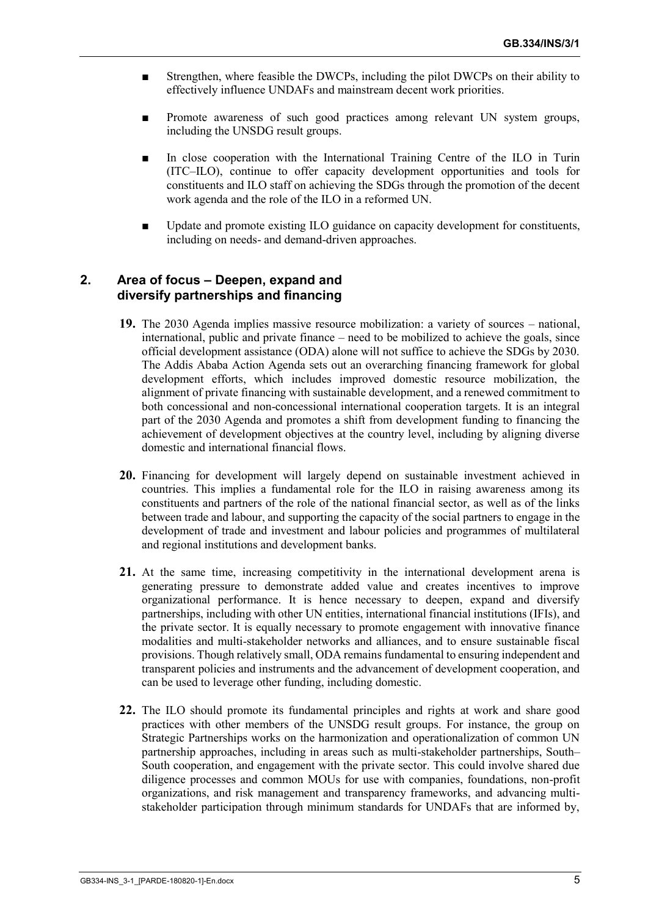- Strengthen, where feasible the DWCPs, including the pilot DWCPs on their ability to effectively influence UNDAFs and mainstream decent work priorities.
- Promote awareness of such good practices among relevant UN system groups, including the UNSDG result groups.
- In close cooperation with the International Training Centre of the ILO in Turin (ITC–ILO), continue to offer capacity development opportunities and tools for constituents and ILO staff on achieving the SDGs through the promotion of the decent work agenda and the role of the ILO in a reformed UN.
- Update and promote existing ILO guidance on capacity development for constituents. including on needs- and demand-driven approaches.

### **2. Area of focus – Deepen, expand and diversify partnerships and financing**

- **19.** The 2030 Agenda implies massive resource mobilization: a variety of sources national, international, public and private finance – need to be mobilized to achieve the goals, since official development assistance (ODA) alone will not suffice to achieve the SDGs by 2030. The Addis Ababa Action Agenda sets out an overarching financing framework for global development efforts, which includes improved domestic resource mobilization, the alignment of private financing with sustainable development, and a renewed commitment to both concessional and non-concessional international cooperation targets. It is an integral part of the 2030 Agenda and promotes a shift from development funding to financing the achievement of development objectives at the country level, including by aligning diverse domestic and international financial flows.
- **20.** Financing for development will largely depend on sustainable investment achieved in countries. This implies a fundamental role for the ILO in raising awareness among its constituents and partners of the role of the national financial sector, as well as of the links between trade and labour, and supporting the capacity of the social partners to engage in the development of trade and investment and labour policies and programmes of multilateral and regional institutions and development banks.
- **21.** At the same time, increasing competitivity in the international development arena is generating pressure to demonstrate added value and creates incentives to improve organizational performance. It is hence necessary to deepen, expand and diversify partnerships, including with other UN entities, international financial institutions (IFIs), and the private sector. It is equally necessary to promote engagement with innovative finance modalities and multi-stakeholder networks and alliances, and to ensure sustainable fiscal provisions. Though relatively small, ODA remains fundamental to ensuring independent and transparent policies and instruments and the advancement of development cooperation, and can be used to leverage other funding, including domestic.
- **22.** The ILO should promote its fundamental principles and rights at work and share good practices with other members of the UNSDG result groups. For instance, the group on Strategic Partnerships works on the harmonization and operationalization of common UN partnership approaches, including in areas such as multi-stakeholder partnerships, South– South cooperation, and engagement with the private sector. This could involve shared due diligence processes and common MOUs for use with companies, foundations, non-profit organizations, and risk management and transparency frameworks, and advancing multistakeholder participation through minimum standards for UNDAFs that are informed by,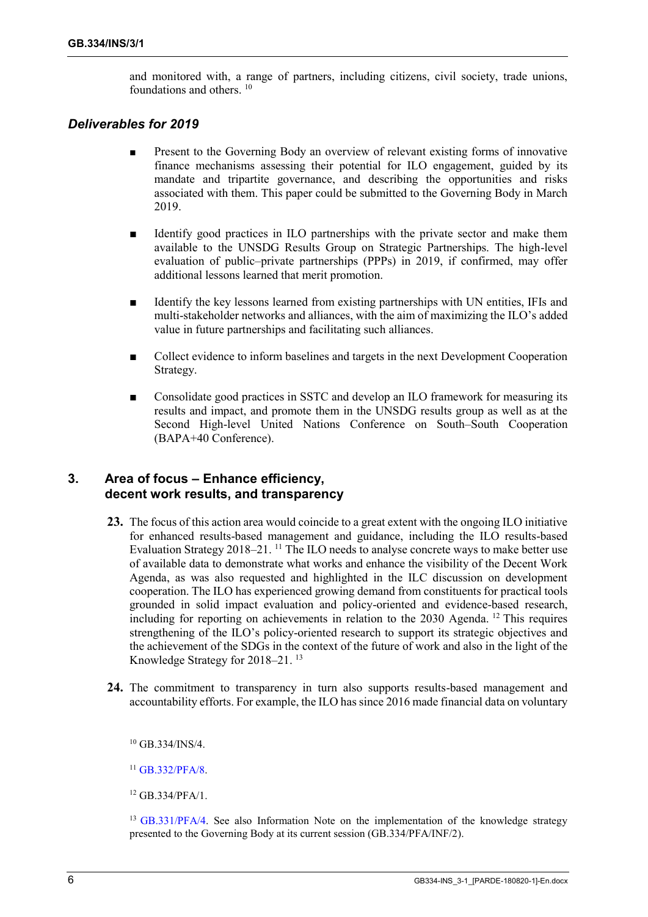and monitored with, a range of partners, including citizens, civil society, trade unions, foundations and others. <sup>10</sup>

#### *Deliverables for 2019*

- Present to the Governing Body an overview of relevant existing forms of innovative finance mechanisms assessing their potential for ILO engagement, guided by its mandate and tripartite governance, and describing the opportunities and risks associated with them. This paper could be submitted to the Governing Body in March 2019.
- Identify good practices in ILO partnerships with the private sector and make them available to the UNSDG Results Group on Strategic Partnerships. The high-level evaluation of public–private partnerships (PPPs) in 2019, if confirmed, may offer additional lessons learned that merit promotion.
- Identify the key lessons learned from existing partnerships with UN entities, IFIs and multi-stakeholder networks and alliances, with the aim of maximizing the ILO's added value in future partnerships and facilitating such alliances.
- Collect evidence to inform baselines and targets in the next Development Cooperation Strategy.
- Consolidate good practices in SSTC and develop an ILO framework for measuring its results and impact, and promote them in the UNSDG results group as well as at the Second High-level United Nations Conference on South–South Cooperation (BAPA+40 Conference).

#### **3. Area of focus – Enhance efficiency, decent work results, and transparency**

- **23.** The focus of this action area would coincide to a great extent with the ongoing ILO initiative for enhanced results-based management and guidance, including the ILO results-based Evaluation Strategy 2018–21. <sup>11</sup> The ILO needs to analyse concrete ways to make better use of available data to demonstrate what works and enhance the visibility of the Decent Work Agenda, as was also requested and highlighted in the ILC discussion on development cooperation. The ILO has experienced growing demand from constituents for practical tools grounded in solid impact evaluation and policy-oriented and evidence-based research, including for reporting on achievements in relation to the 2030 Agenda. <sup>12</sup> This requires strengthening of the ILO's policy-oriented research to support its strategic objectives and the achievement of the SDGs in the context of the future of work and also in the light of the Knowledge Strategy for 2018–21. <sup>13</sup>
- **24.** The commitment to transparency in turn also supports results-based management and accountability efforts. For example, the ILO has since 2016 made financial data on voluntary

<sup>10</sup> GB.334/INS/4.

<sup>11</sup> [GB.332/PFA/8.](https://www.ilo.org/wcmsp5/groups/public/---ed_norm/---relconf/documents/meetingdocument/wcms_618296.pdf)

<sup>12</sup> GB.334/PFA/1.

<sup>13</sup> [GB.331/PFA/4.](https://www.ilo.org/wcmsp5/groups/public/---ed_norm/---relconf/documents/meetingdocument/wcms_584172.pdf) See also Information Note on the implementation of the knowledge strategy presented to the Governing Body at its current session (GB.334/PFA/INF/2).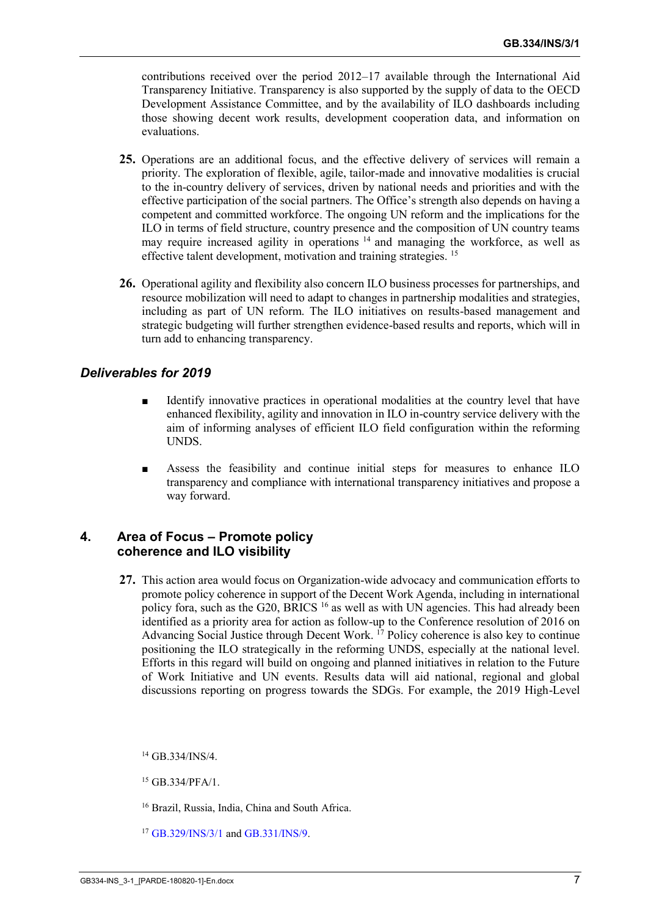contributions received over the period 2012–17 available through the International Aid Transparency Initiative. Transparency is also supported by the supply of data to the OECD Development Assistance Committee, and by the availability of ILO dashboards including those showing decent work results, development cooperation data, and information on evaluations.

- **25.** Operations are an additional focus, and the effective delivery of services will remain a priority. The exploration of flexible, agile, tailor-made and innovative modalities is crucial to the in-country delivery of services, driven by national needs and priorities and with the effective participation of the social partners. The Office's strength also depends on having a competent and committed workforce. The ongoing UN reform and the implications for the ILO in terms of field structure, country presence and the composition of UN country teams may require increased agility in operations  $14$  and managing the workforce, as well as effective talent development, motivation and training strategies. <sup>15</sup>
- **26.** Operational agility and flexibility also concern ILO business processes for partnerships, and resource mobilization will need to adapt to changes in partnership modalities and strategies, including as part of UN reform. The ILO initiatives on results-based management and strategic budgeting will further strengthen evidence-based results and reports, which will in turn add to enhancing transparency.

### *Deliverables for 2019*

- Identify innovative practices in operational modalities at the country level that have enhanced flexibility, agility and innovation in ILO in-country service delivery with the aim of informing analyses of efficient ILO field configuration within the reforming UNDS.
- Assess the feasibility and continue initial steps for measures to enhance ILO transparency and compliance with international transparency initiatives and propose a way forward.

### **4. Area of Focus – Promote policy coherence and ILO visibility**

**27.** This action area would focus on Organization-wide advocacy and communication efforts to promote policy coherence in support of the Decent Work Agenda, including in international policy fora, such as the G20, BRICS <sup>16</sup> as well as with UN agencies. This had already been identified as a priority area for action as follow-up to the Conference resolution of 2016 on Advancing Social Justice through Decent Work.  $^{17}$  Policy coherence is also key to continue positioning the ILO strategically in the reforming UNDS, especially at the national level. Efforts in this regard will build on ongoing and planned initiatives in relation to the Future of Work Initiative and UN events. Results data will aid national, regional and global discussions reporting on progress towards the SDGs. For example, the 2019 High-Level

<sup>14</sup> GB.334/INS/4.

<sup>15</sup> GB.334/PFA/1.

<sup>16</sup> Brazil, Russia, India, China and South Africa.

<sup>17</sup> [GB.329/INS/3/1](https://www.ilo.org/wcmsp5/groups/public/---ed_norm/---relconf/documents/meetingdocument/wcms_545423.pdf) an[d GB.331/INS/9.](https://www.ilo.org/wcmsp5/groups/public/---ed_norm/---relconf/documents/meetingdocument/wcms_584370.pdf)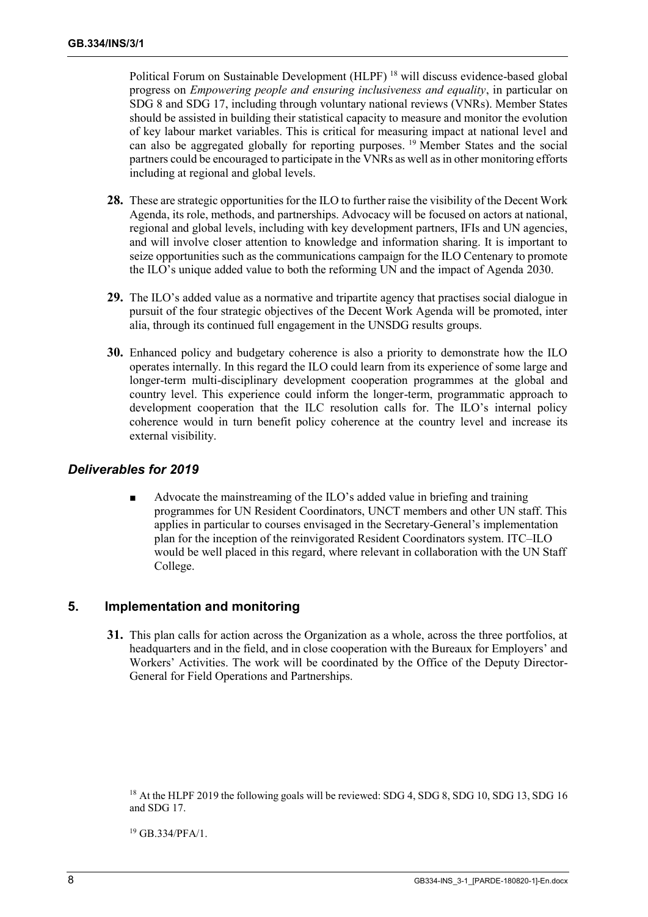Political Forum on Sustainable Development (HLPF) <sup>18</sup> will discuss evidence-based global progress on *Empowering people and ensuring inclusiveness and equality*, in particular on SDG 8 and SDG 17, including through voluntary national reviews (VNRs). Member States should be assisted in building their statistical capacity to measure and monitor the evolution of key labour market variables. This is critical for measuring impact at national level and can also be aggregated globally for reporting purposes. <sup>19</sup> Member States and the social partners could be encouraged to participate in the VNRs as well as in other monitoring efforts including at regional and global levels.

- **28.** These are strategic opportunities for the ILO to further raise the visibility of the Decent Work Agenda, its role, methods, and partnerships. Advocacy will be focused on actors at national, regional and global levels, including with key development partners, IFIs and UN agencies, and will involve closer attention to knowledge and information sharing. It is important to seize opportunities such as the communications campaign for the ILO Centenary to promote the ILO's unique added value to both the reforming UN and the impact of Agenda 2030.
- **29.** The ILO's added value as a normative and tripartite agency that practises social dialogue in pursuit of the four strategic objectives of the Decent Work Agenda will be promoted, inter alia, through its continued full engagement in the UNSDG results groups.
- **30.** Enhanced policy and budgetary coherence is also a priority to demonstrate how the ILO operates internally. In this regard the ILO could learn from its experience of some large and longer-term multi-disciplinary development cooperation programmes at the global and country level. This experience could inform the longer-term, programmatic approach to development cooperation that the ILC resolution calls for. The ILO's internal policy coherence would in turn benefit policy coherence at the country level and increase its external visibility.

#### *Deliverables for 2019*

Advocate the mainstreaming of the ILO's added value in briefing and training programmes for UN Resident Coordinators, UNCT members and other UN staff. This applies in particular to courses envisaged in the Secretary-General's implementation plan for the inception of the reinvigorated Resident Coordinators system. ITC–ILO would be well placed in this regard, where relevant in collaboration with the UN Staff College.

# **5. Implementation and monitoring**

**31.** This plan calls for action across the Organization as a whole, across the three portfolios, at headquarters and in the field, and in close cooperation with the Bureaux for Employers' and Workers' Activities. The work will be coordinated by the Office of the Deputy Director-General for Field Operations and Partnerships.

<sup>19</sup> GB.334/PFA/1.

<sup>&</sup>lt;sup>18</sup> At the HLPF 2019 the following goals will be reviewed: SDG 4, SDG 8, SDG 10, SDG 13, SDG 16 and SDG 17.